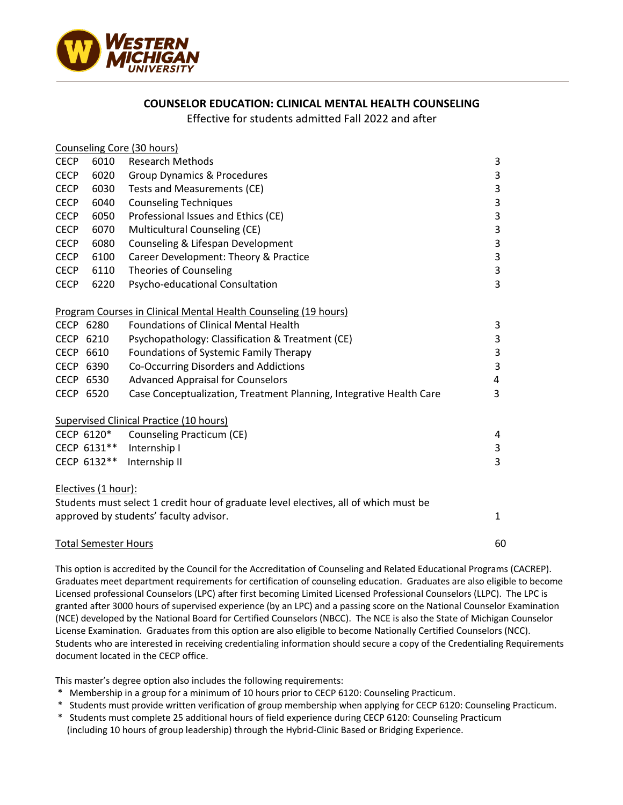

## **COUNSELOR EDUCATION: CLINICAL MENTAL HEALTH COUNSELING**

Effective for students admitted Fall 2022 and after

|                                                                                      |                     | Counseling Core (30 hours)                                          |                         |
|--------------------------------------------------------------------------------------|---------------------|---------------------------------------------------------------------|-------------------------|
| <b>CECP</b>                                                                          | 6010                | <b>Research Methods</b>                                             | 3                       |
| <b>CECP</b>                                                                          | 6020                | <b>Group Dynamics &amp; Procedures</b>                              | 3                       |
| <b>CECP</b>                                                                          | 6030                | Tests and Measurements (CE)                                         | 3                       |
| <b>CECP</b>                                                                          | 6040                | <b>Counseling Techniques</b>                                        | 3                       |
| <b>CECP</b>                                                                          | 6050                | Professional Issues and Ethics (CE)                                 | 3                       |
| <b>CECP</b>                                                                          | 6070                | Multicultural Counseling (CE)                                       | 3                       |
| <b>CECP</b>                                                                          | 6080                | Counseling & Lifespan Development                                   | 3                       |
| <b>CECP</b>                                                                          | 6100                | Career Development: Theory & Practice                               | 3                       |
| <b>CECP</b>                                                                          | 6110                | Theories of Counseling                                              | 3                       |
| <b>CECP</b>                                                                          | 6220                | Psycho-educational Consultation                                     | 3                       |
|                                                                                      |                     | Program Courses in Clinical Mental Health Counseling (19 hours)     |                         |
| CECP 6280                                                                            |                     | <b>Foundations of Clinical Mental Health</b>                        | 3                       |
| CECP 6210                                                                            |                     | Psychopathology: Classification & Treatment (CE)                    | $\overline{\mathbf{3}}$ |
| CECP 6610                                                                            |                     | Foundations of Systemic Family Therapy                              | 3                       |
| CECP 6390                                                                            |                     | Co-Occurring Disorders and Addictions                               | 3                       |
| CECP 6530                                                                            |                     | <b>Advanced Appraisal for Counselors</b>                            | 4                       |
| CECP 6520                                                                            |                     | Case Conceptualization, Treatment Planning, Integrative Health Care | 3                       |
| Supervised Clinical Practice (10 hours)                                              |                     |                                                                     |                         |
|                                                                                      | CECP 6120*          | Counseling Practicum (CE)                                           | 4                       |
|                                                                                      | CECP 6131**         | Internship I                                                        | 3                       |
|                                                                                      | CECP 6132**         | Internship II                                                       | 3                       |
|                                                                                      | Electives (1 hour): |                                                                     |                         |
| Students must select 1 credit hour of graduate level electives, all of which must be |                     |                                                                     |                         |
|                                                                                      |                     | approved by students' faculty advisor.                              | 1                       |
| <b>Total Semester Hours</b>                                                          |                     |                                                                     | 60                      |

This option is accredited by the Council for the Accreditation of Counseling and Related Educational Programs (CACREP). Graduates meet department requirements for certification of counseling education. Graduates are also eligible to become Licensed professional Counselors (LPC) after first becoming Limited Licensed Professional Counselors (LLPC). The LPC is granted after 3000 hours of supervised experience (by an LPC) and a passing score on the National Counselor Examination (NCE) developed by the National Board for Certified Counselors (NBCC). The NCE is also the State of Michigan Counselor License Examination. Graduates from this option are also eligible to become Nationally Certified Counselors (NCC). Students who are interested in receiving credentialing information should secure a copy of the Credentialing Requirements document located in the CECP office.

This master's degree option also includes the following requirements:

- \* Membership in a group for a minimum of 10 hours prior to CECP 6120: Counseling Practicum.
- \* Students must provide written verification of group membership when applying for CECP 6120: Counseling Practicum.
- \* Students must complete 25 additional hours of field experience during CECP 6120: Counseling Practicum (including 10 hours of group leadership) through the Hybrid-Clinic Based or Bridging Experience.